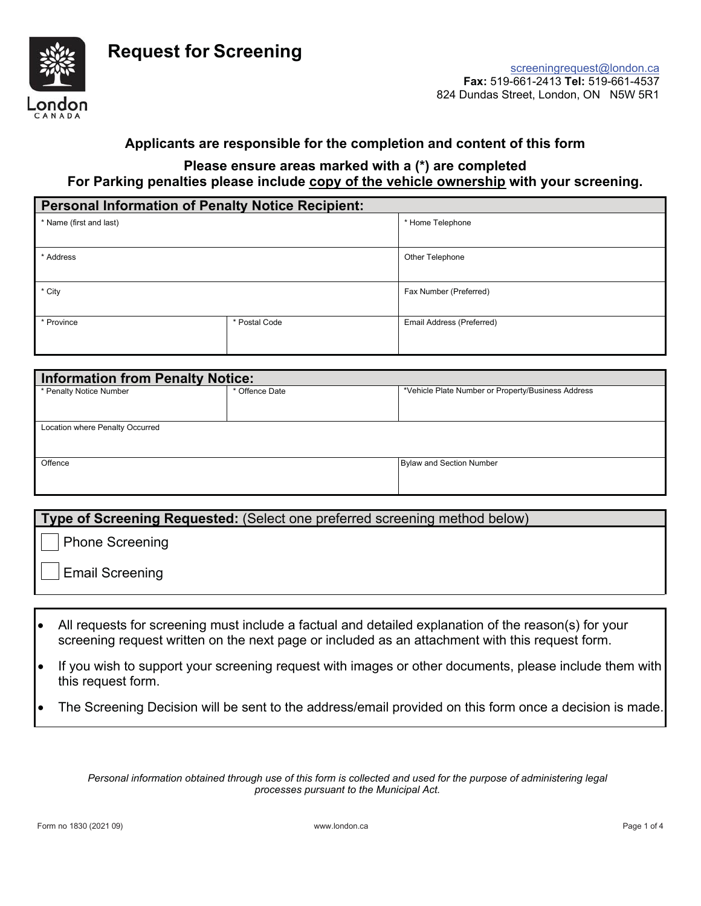

## **Applicants are responsible for the completion and content of this form**

## **Please ensure areas marked with a (\*) are completed For Parking penalties please include copy of the vehicle ownership with your screening.**

| <b>Personal Information of Penalty Notice Recipient:</b> |               |                           |  |  |  |
|----------------------------------------------------------|---------------|---------------------------|--|--|--|
| * Name (first and last)                                  |               | * Home Telephone          |  |  |  |
|                                                          |               |                           |  |  |  |
| * Address                                                |               | Other Telephone           |  |  |  |
| * City                                                   |               | Fax Number (Preferred)    |  |  |  |
| * Province                                               | * Postal Code | Email Address (Preferred) |  |  |  |

| <b>Information from Penalty Notice:</b> |                |                                                    |  |  |  |  |  |
|-----------------------------------------|----------------|----------------------------------------------------|--|--|--|--|--|
| * Penalty Notice Number                 | * Offence Date | *Vehicle Plate Number or Property/Business Address |  |  |  |  |  |
|                                         |                |                                                    |  |  |  |  |  |
| Location where Penalty Occurred         |                |                                                    |  |  |  |  |  |
|                                         |                |                                                    |  |  |  |  |  |
| Offence                                 |                | <b>Bylaw and Section Number</b>                    |  |  |  |  |  |
|                                         |                |                                                    |  |  |  |  |  |
|                                         |                |                                                    |  |  |  |  |  |

#### **Type of Screening Requested:** (Select one preferred screening method below)

Phone Screening

Email Screening

- All requests for screening must include a factual and detailed explanation of the reason(s) for your screening request written on the next page or included as an attachment with this request form.
- If you wish to support your screening request with images or other documents, please include them with this request form.
- The Screening Decision will be sent to the address/email provided on this form once a decision is made.

*Personal information obtained through use of this form is collected and used for the purpose of administering legal processes pursuant to the Municipal Act.*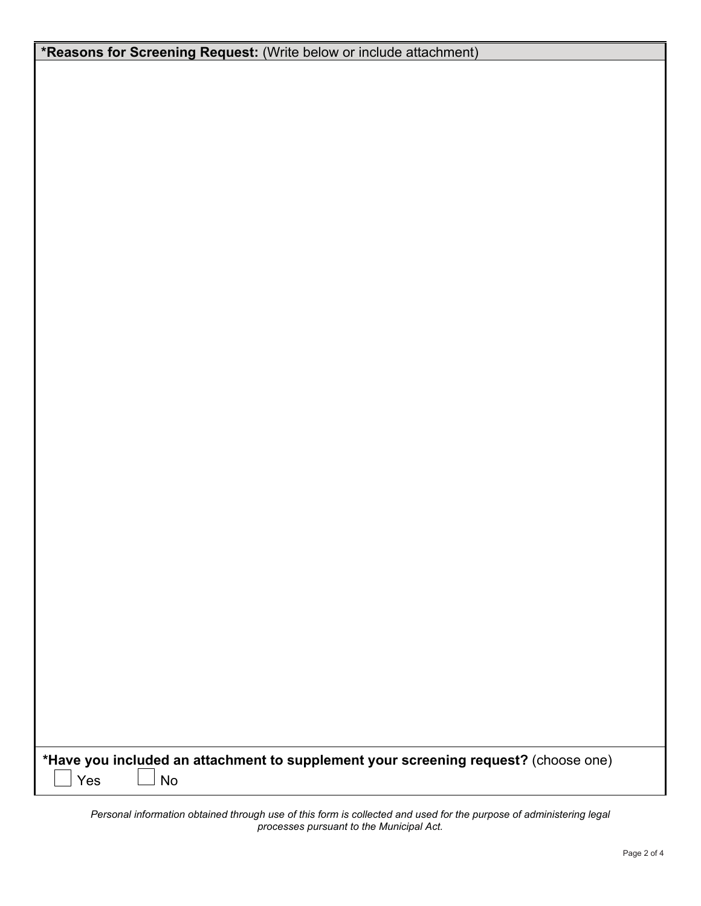| *Have you included an attachment to supplement your screening request? (choose one)<br><b>No</b><br>Yes |  |  |  |  |
|---------------------------------------------------------------------------------------------------------|--|--|--|--|

*Personal information obtained through use of this form is collected and used for the purpose of administering legal processes pursuant to the Municipal Act.*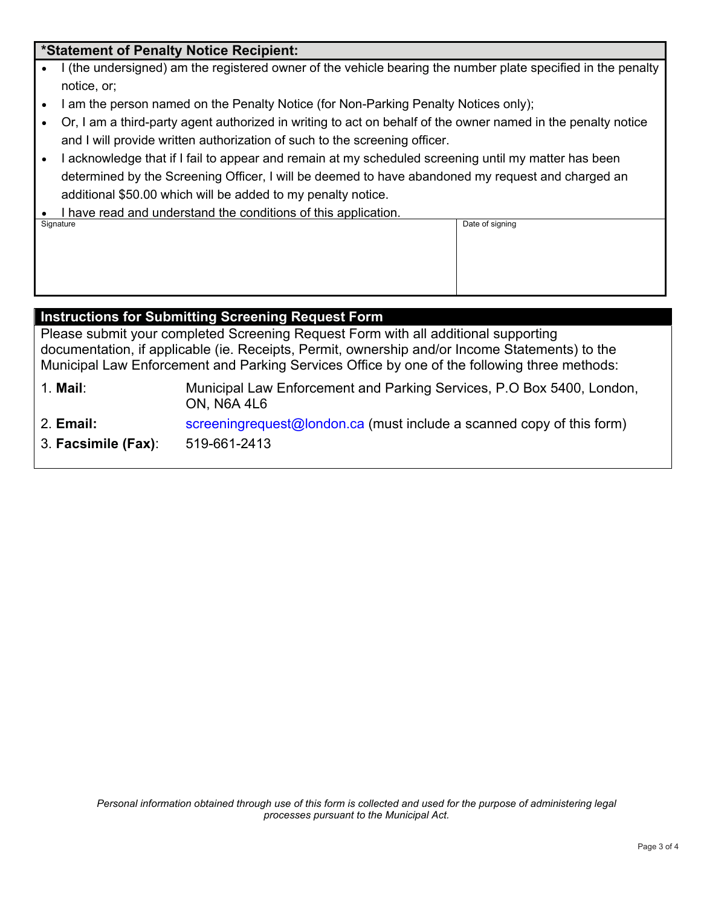# **\*Statement of Penalty Notice Recipient:**

- I (the undersigned) am the registered owner of the vehicle bearing the number plate specified in the penalty notice, or;
- I am the person named on the Penalty Notice (for Non-Parking Penalty Notices only);
- Or, I am a third-party agent authorized in writing to act on behalf of the owner named in the penalty notice and I will provide written authorization of such to the screening officer.

Date of signing

- I acknowledge that if I fail to appear and remain at my scheduled screening until my matter has been determined by the Screening Officer, I will be deemed to have abandoned my request and charged an additional \$50.00 which will be added to my penalty notice.
- I have read and understand the conditions of this application.<br>Signature

# **Instructions for Submitting Screening Request Form**

Please submit your completed Screening Request Form with all additional supporting documentation, if applicable (ie. Receipts, Permit, ownership and/or Income Statements) to the Municipal Law Enforcement and Parking Services Office by one of the following three methods:

- 1. **Mail**: Municipal Law Enforcement and Parking Services, P.O Box 5400, London, ON, N6A 4L6
- 2. **Email:** screeningrequest@london.ca (must include a scanned copy of this form)
- 3. **Facsimile (Fax)**: 519-661-2413